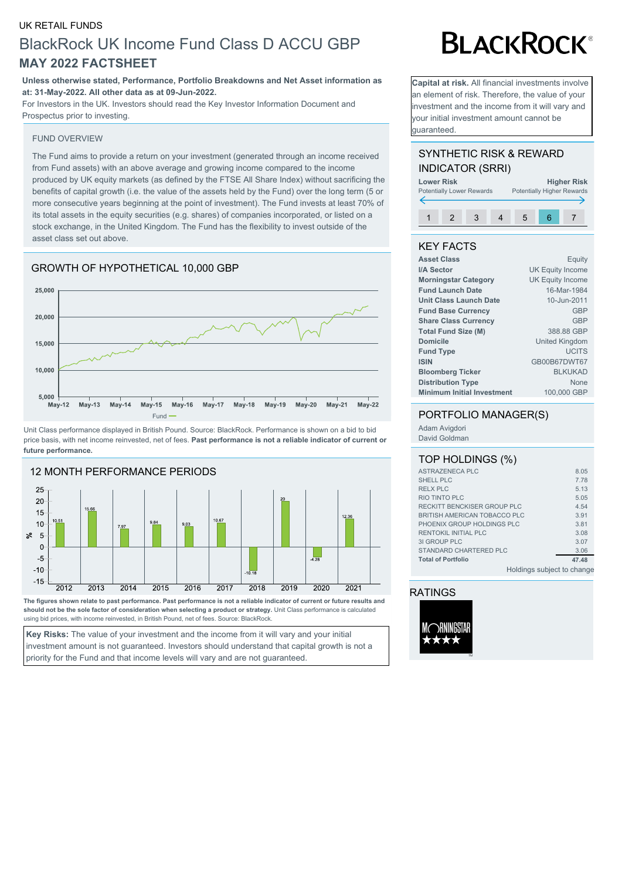#### UK RETAIL FUNDS

## BlackRock UK Income Fund Class D ACCU GBP **MAY 2022 FACTSHEET**

#### **Unless otherwise stated, Performance, Portfolio Breakdowns and Net Asset information as at: 31-May-2022. All other data as at 09-Jun-2022.**

For Investors in the UK. Investors should read the Key Investor Information Document and Prospectus prior to investing.

#### FUND OVERVIEW

The Fund aims to provide a return on your investment (generated through an income received from Fund assets) with an above average and growing income compared to the income produced by UK equity markets (as defined by the FTSE All Share Index) without sacrificing the benefits of capital growth (i.e. the value of the assets held by the Fund) over the long term (5 or more consecutive years beginning at the point of investment). The Fund invests at least 70% of its total assets in the equity securities (e.g. shares) of companies incorporated, or listed on a stock exchange, in the United Kingdom. The Fund has the flexibility to invest outside of the asset class set out above.

### GROWTH OF HYPOTHETICAL 10,000 GBP



Unit Class performance displayed in British Pound. Source: BlackRock. Performance is shown on a bid to bid price basis, with net income reinvested, net of fees. **Past performance is not a reliable indicator of current or future performance.**



**The figures shown relate to past performance. Past performance is not a reliable indicator of current or future results and should not be the sole factor of consideration when selecting a product or strategy.** Unit Class performance is calculated using bid prices, with income reinvested, in British Pound, net of fees. Source: BlackRock.

**Key Risks:** The value of your investment and the income from it will vary and your initial investment amount is not guaranteed. Investors should understand that capital growth is not a priority for the Fund and that income levels will vary and are not guaranteed.

# **BLACKROCK®**

**Capital at risk.** All financial investments involve an element of risk. Therefore, the value of your investment and the income from it will vary and your initial investment amount cannot be guaranteed.

#### SYNTHETIC RISK & REWARD INDICATOR (SRRI)

**Lower Risk <br>
Potentially Lower Rewards Potentially Higher Rewards** Potentially Higher Rewards 1 2 3 4 5 6 7

#### KEY FACTS

| Equity                  |
|-------------------------|
| <b>UK Equity Income</b> |
| <b>UK Equity Income</b> |
| 16-Mar-1984             |
| 10-Jun-2011             |
| <b>GBP</b>              |
| <b>GBP</b>              |
| 388.88 GBP              |
| United Kingdom          |
| <b>UCITS</b>            |
| GB00B67DWT67            |
| <b>BLKUKAD</b>          |
| <b>None</b>             |
| 100,000 GBP             |
|                         |

#### PORTFOLIO MANAGER(S)

Adam Avigdori David Goldman

| ASTRAZENECA PLC              | 8.05  |
|------------------------------|-------|
| SHELL PLC                    | 7.78  |
| <b>RELX PLC</b>              | 5.13  |
| <b>RIO TINTO PLC</b>         | 5.05  |
| RECKITT BENCKISER GROUP PLC  | 4.54  |
| BRITISH AMERICAN TOBACCO PLC | 3.91  |
| PHOENIX GROUP HOLDINGS PLC   | 3.81  |
| RENTOKIL INITIAL PLC         | 3.08  |
| 31 GROUP PLC                 | 3.07  |
| STANDARD CHARTERED PLC       | 3.06  |
| <b>Total of Portfolio</b>    | 47.48 |
| Holdings subject to change   |       |

RATINGS

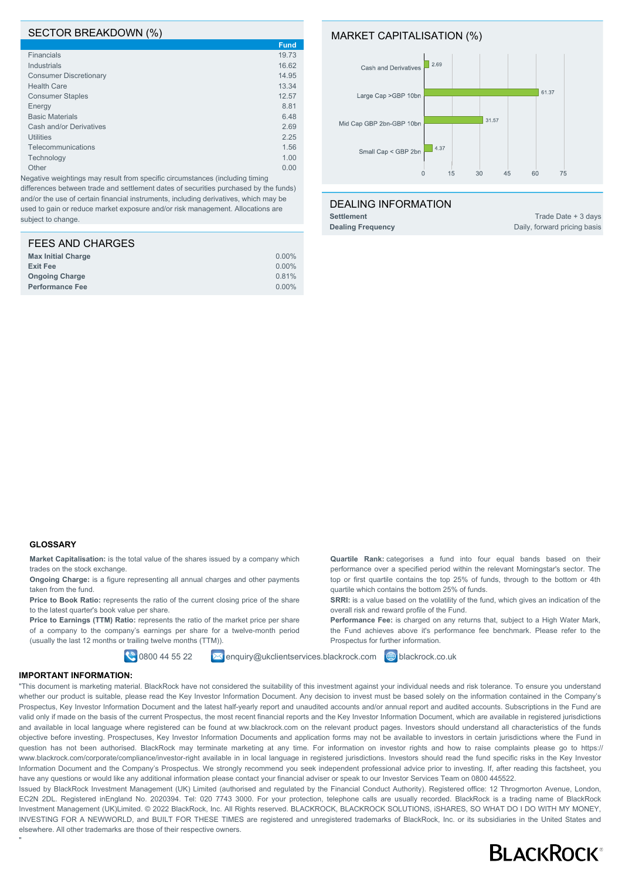#### SECTOR BREAKDOWN (%)

|                               | <b>Fund</b> |
|-------------------------------|-------------|
| <b>Financials</b>             | 19.73       |
| <b>Industrials</b>            | 16.62       |
| <b>Consumer Discretionary</b> | 14.95       |
| <b>Health Care</b>            | 13.34       |
| <b>Consumer Staples</b>       | 12.57       |
| Energy                        | 8.81        |
| <b>Basic Materials</b>        | 6.48        |
| Cash and/or Derivatives       | 2.69        |
| <b>Utilities</b>              | 2.25        |
| Telecommunications            | 1.56        |
| Technology                    | 1.00        |
| Other                         | 0.00        |
|                               |             |

Negative weightings may result from specific circumstances (including timing differences between trade and settlement dates of securities purchased by the funds) and/or the use of certain financial instruments, including derivatives, which may be used to gain or reduce market exposure and/or risk management. Allocations are subject to change.

| $0.00\%$ |
|----------|
| 0.00%    |
| 0.81%    |
| $0.00\%$ |
|          |

#### MARKET CAPITALISATION (%)



**Quartile Rank:** categorises a fund into four equal bands based on their performance over a specified period within the relevant Morningstar's sector. The top or first quartile contains the top 25% of funds, through to the bottom or 4th

**SRRI:** is a value based on the volatility of the fund, which gives an indication of the

Performance Fee: is charged on any returns that, subject to a High Water Mark, the Fund achieves above it's performance fee benchmark. Please refer to the

quartile which contains the bottom 25% of funds.

overall risk and reward profile of the Fund.

Prospectus for further information.

#### DEALING INFORMATION

**Settlement** Trade Date + 3 days **Dealing Frequency** Daily, forward pricing basis

#### **GLOSSARY**

**Market Capitalisation:** is the total value of the shares issued by a company which trades on the stock exchange.

**Ongoing Charge:** is a figure representing all annual charges and other payments taken from the fund.

Price to Book Ratio: represents the ratio of the current closing price of the share to the latest quarter's book value per share.

Price to Earnings (TTM) Ratio: represents the ratio of the market price per share of a company to the company's earnings per share for a twelve-month period (usually the last 12 months or trailing twelve months (TTM)).

**0800 44 55 22 Ex enquiry@ukclientservices.blackrock.com @** blackrock.co.uk

#### **IMPORTANT INFORMATION:**

"

"This document is marketing material. BlackRock have not considered the suitability of this investment against your individual needs and risk tolerance. To ensure you understand whether our product is suitable, please read the Key Investor Information Document. Any decision to invest must be based solely on the information contained in the Company's Prospectus, Key Investor Information Document and the latest half-yearly report and unaudited accounts and/or annual report and audited accounts. Subscriptions in the Fund are valid only if made on the basis of the current Prospectus, the most recent financial reports and the Key Investor Information Document, which are available in registered jurisdictions and available in local language where registered can be found at ww.blackrock.com on the relevant product pages. Investors should understand all characteristics of the funds objective before investing. Prospectuses, Key Investor Information Documents and application forms may not be available to investors in certain jurisdictions where the Fund in question has not been authorised. BlackRock may terminate marketing at any time. For information on investor rights and how to raise complaints please go to https:// www.blackrock.com/corporate/compliance/investor-right available in in local language in registered jurisdictions. Investors should read the fund specific risks in the Key Investor Information Document and the Company's Prospectus. We strongly recommend you seek independent professional advice prior to investing. If, after reading this factsheet, you have any questions or would like any additional information please contact your financial adviser or speak to our Investor Services Team on 0800 445522.

Issued by BlackRock Investment Management (UK) Limited (authorised and regulated by the Financial Conduct Authority). Registered office: 12 Throgmorton Avenue, London, EC2N 2DL. Registered inEngland No. 2020394. Tel: 020 7743 3000. For your protection, telephone calls are usually recorded. BlackRock is a trading name of BlackRock Investment Management (UK)Limited. © 2022 BlackRock, Inc. All Rights reserved. BLACKROCK, BLACKROCK SOLUTIONS, iSHARES, SO WHAT DO I DO WITH MY MONEY, INVESTING FOR A NEWWORLD, and BUILT FOR THESE TIMES are registered and unregistered trademarks of BlackRock, Inc. or its subsidiaries in the United States and elsewhere. All other trademarks are those of their respective owners.